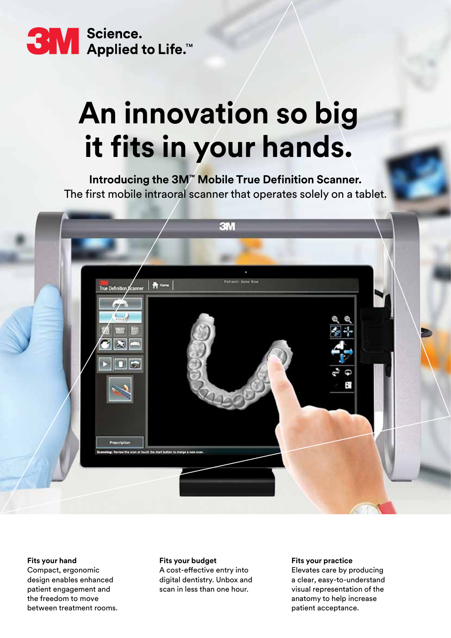

# **An innovation so big it fits in your hands.**

**Introducing the 3M™ Mobile True Definition Scanner.**  The first mobile intraoral scanner that operates solely on a tablet.



#### **Fits your hand**

Compact, ergonomic design enables enhanced patient engagement and the freedom to move between treatment rooms.

#### **Fits your budget**

A cost-effective entry into digital dentistry. Unbox and scan in less than one hour.

#### **Fits your practice**

Elevates care by producing a clear, easy-to-understand visual representation of the anatomy to help increase patient acceptance.